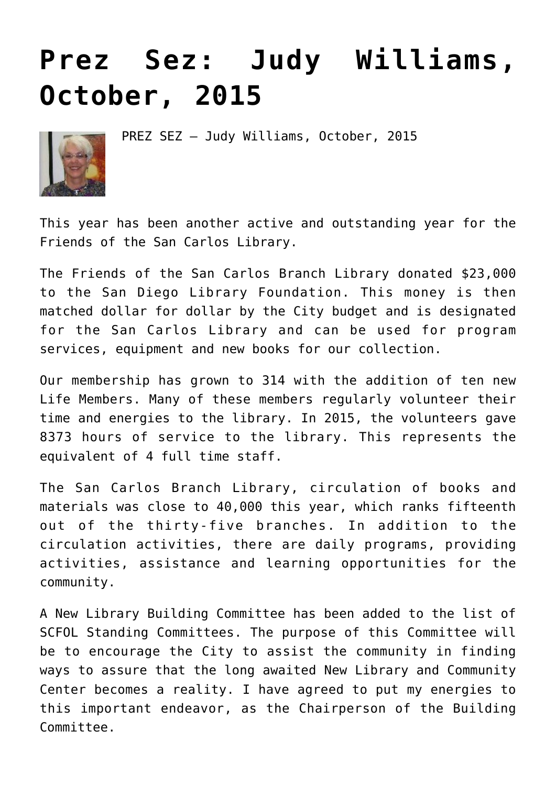## **[Prez Sez: Judy Williams,](https://sancarlosfriendsofthelibrary.org/2015/10/01/prez-sez-judy-williams-october-2015-2/) [October, 2015](https://sancarlosfriendsofthelibrary.org/2015/10/01/prez-sez-judy-williams-october-2015-2/)**



PREZ SEZ – Judy Williams, October, 2015

This year has been another active and outstanding year for the Friends of the San Carlos Library.

The Friends of the San Carlos Branch Library donated \$23,000 to the San Diego Library Foundation. This money is then matched dollar for dollar by the City budget and is designated for the San Carlos Library and can be used for program services, equipment and new books for our collection.

Our membership has grown to 314 with the addition of ten new Life Members. Many of these members regularly volunteer their time and energies to the library. In 2015, the volunteers gave 8373 hours of service to the library. This represents the equivalent of 4 full time staff.

The San Carlos Branch Library, circulation of books and materials was close to 40,000 this year, which ranks fifteenth out of the thirty-five branches. In addition to the circulation activities, there are daily programs, providing activities, assistance and learning opportunities for the community.

A New Library Building Committee has been added to the list of SCFOL Standing Committees. The purpose of this Committee will be to encourage the City to assist the community in finding ways to assure that the long awaited New Library and Community Center becomes a reality. I have agreed to put my energies to this important endeavor, as the Chairperson of the Building Committee.